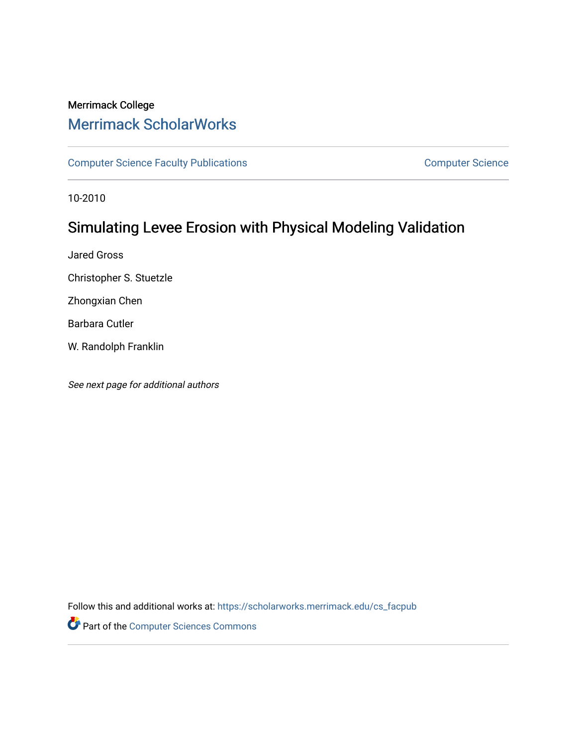# Merrimack College [Merrimack ScholarWorks](https://scholarworks.merrimack.edu/)

[Computer Science Faculty Publications](https://scholarworks.merrimack.edu/cs_facpub) [Computer Science](https://scholarworks.merrimack.edu/cs) Computer Science

10-2010

# Simulating Levee Erosion with Physical Modeling Validation

Jared Gross

Christopher S. Stuetzle

Zhongxian Chen

Barbara Cutler

W. Randolph Franklin

See next page for additional authors

Follow this and additional works at: [https://scholarworks.merrimack.edu/cs\\_facpub](https://scholarworks.merrimack.edu/cs_facpub?utm_source=scholarworks.merrimack.edu%2Fcs_facpub%2F28&utm_medium=PDF&utm_campaign=PDFCoverPages)

Part of the [Computer Sciences Commons](http://network.bepress.com/hgg/discipline/142?utm_source=scholarworks.merrimack.edu%2Fcs_facpub%2F28&utm_medium=PDF&utm_campaign=PDFCoverPages)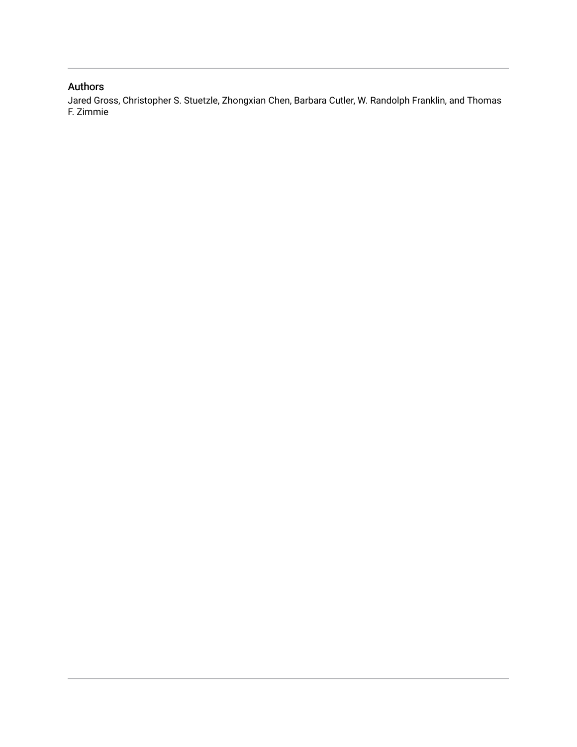# Authors

Jared Gross, Christopher S. Stuetzle, Zhongxian Chen, Barbara Cutler, W. Randolph Franklin, and Thomas F. Zimmie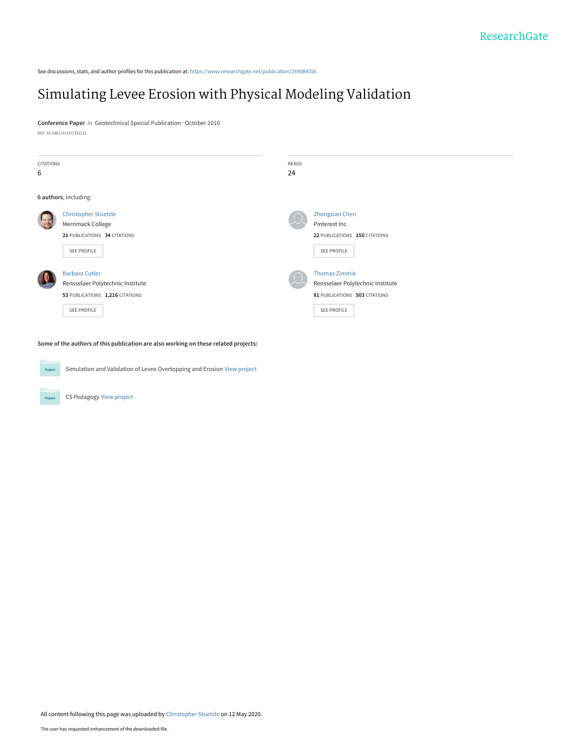See discussions, stats, and author profiles for this publication at: [https://www.researchgate.net/publication/269084556](https://www.researchgate.net/publication/269084556_Simulating_Levee_Erosion_with_Physical_Modeling_Validation?enrichId=rgreq-af6f15939b7f4417583b440c394d0120-XXX&enrichSource=Y292ZXJQYWdlOzI2OTA4NDU1NjtBUzo4OTA0Mzk0NjA3MzcwMjdAMTU4OTMwODcxOTQzNA%3D%3D&el=1_x_2&_esc=publicationCoverPdf)

# [Simulating Levee Erosion with Physical Modeling Validation](https://www.researchgate.net/publication/269084556_Simulating_Levee_Erosion_with_Physical_Modeling_Validation?enrichId=rgreq-af6f15939b7f4417583b440c394d0120-XXX&enrichSource=Y292ZXJQYWdlOzI2OTA4NDU1NjtBUzo4OTA0Mzk0NjA3MzcwMjdAMTU4OTMwODcxOTQzNA%3D%3D&el=1_x_3&_esc=publicationCoverPdf)

**Conference Paper** in Geotechnical Special Publication · October 2010

DOI: 10.1061/41147(392)31



**Some of the authors of this publication are also working on these related projects:**

Simulation and Validation of Levee Overtopping and Erosion [View project](https://www.researchgate.net/project/Simulation-and-Validation-of-Levee-Overtopping-and-Erosion?enrichId=rgreq-af6f15939b7f4417583b440c394d0120-XXX&enrichSource=Y292ZXJQYWdlOzI2OTA4NDU1NjtBUzo4OTA0Mzk0NjA3MzcwMjdAMTU4OTMwODcxOTQzNA%3D%3D&el=1_x_9&_esc=publicationCoverPdf) Project

**Project** 

CS Pedagogy [View project](https://www.researchgate.net/project/CS-Pedagogy?enrichId=rgreq-af6f15939b7f4417583b440c394d0120-XXX&enrichSource=Y292ZXJQYWdlOzI2OTA4NDU1NjtBUzo4OTA0Mzk0NjA3MzcwMjdAMTU4OTMwODcxOTQzNA%3D%3D&el=1_x_9&_esc=publicationCoverPdf)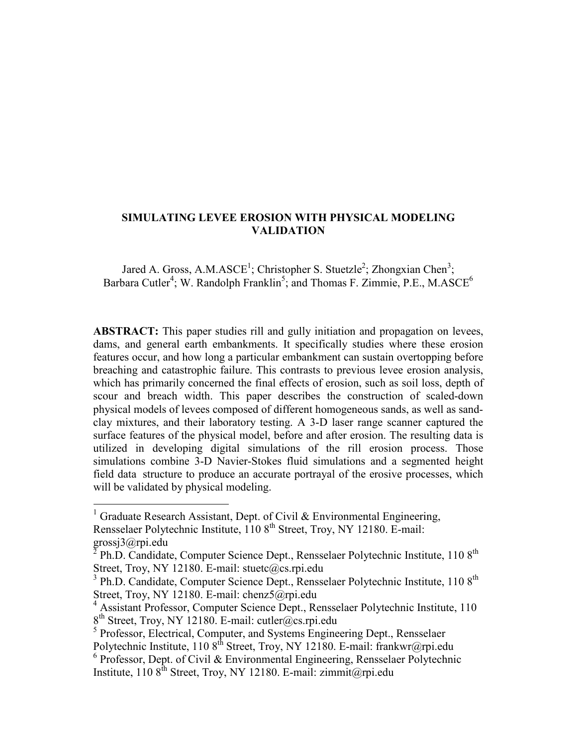## **SIMULATING LEVEE EROSION WITH PHYSICAL MODELING VALIDATION**

Jared A. Gross, A.M. $ASCE<sup>1</sup>$ ; Christopher S. Stuetzle<sup>2</sup>; Zhongxian Chen<sup>3</sup>; Barbara Cutler<sup>4</sup>; W. Randolph Franklin<sup>5</sup>; and Thomas F. Zimmie, P.E., M.ASCE<sup>6</sup>

**ABSTRACT:** This paper studies rill and gully initiation and propagation on levees, dams, and general earth embankments. It specifically studies where these erosion features occur, and how long a particular embankment can sustain overtopping before breaching and catastrophic failure. This contrasts to previous levee erosion analysis, which has primarily concerned the final effects of erosion, such as soil loss, depth of scour and breach width. This paper describes the construction of scaled-down physical models of levees composed of different homogeneous sands, as well as sandclay mixtures, and their laboratory testing. A 3-D laser range scanner captured the surface features of the physical model, before and after erosion. The resulting data is utilized in developing digital simulations of the rill erosion process. Those simulations combine 3-D Navier-Stokes fluid simulations and a segmented height field data structure to produce an accurate portrayal of the erosive processes, which will be validated by physical modeling.

-

<sup>&</sup>lt;sup>1</sup> Graduate Research Assistant, Dept. of Civil & Environmental Engineering, Rensselaer Polytechnic Institute, 110 8<sup>th</sup> Street, Troy, NY 12180. E-mail: grossj3@rpi.edu

 $^2$  Ph.D. Candidate, Computer Science Dept., Rensselaer Polytechnic Institute, 110  $8<sup>th</sup>$ Street, Troy, NY 12180. E-mail: stuetc@cs.rpi.edu

<sup>&</sup>lt;sup>3</sup> Ph.D. Candidate, Computer Science Dept., Rensselaer Polytechnic Institute, 110 8<sup>th</sup> Street, Troy, NY 12180. E-mail: chenz5@rpi.edu

<sup>4</sup> Assistant Professor, Computer Science Dept., Rensselaer Polytechnic Institute, 110 8<sup>th</sup> Street, Troy, NY 12180. E-mail: cutler@cs.rpi.edu

<sup>&</sup>lt;sup>5</sup> Professor, Electrical, Computer, and Systems Engineering Dept., Rensselaer

Polytechnic Institute, 110 8<sup>th</sup> Street, Troy, NY 12180. E-mail: frankwr@rpi.edu

<sup>&</sup>lt;sup>6</sup> Professor, Dept. of Civil & Environmental Engineering, Rensselaer Polytechnic Institute,  $1108^{\text{th}}$  Street, Troy, NY 12180. E-mail: zimmit@rpi.edu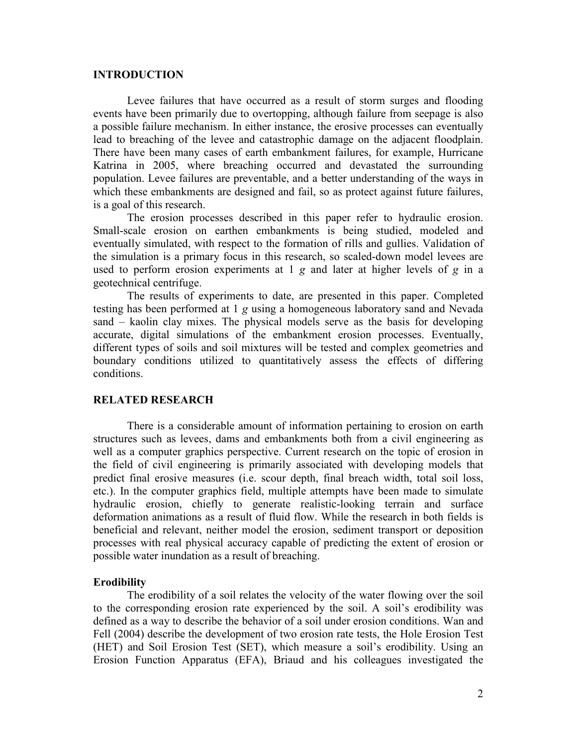#### **INTRODUCTION**

Levee failures that have occurred as a result of storm surges and flooding events have been primarily due to overtopping, although failure from seepage is also a possible failure mechanism. In either instance, the erosive processes can eventually lead to breaching of the levee and catastrophic damage on the adjacent floodplain. There have been many cases of earth embankment failures, for example, Hurricane Katrina in 2005, where breaching occurred and devastated the surrounding population. Levee failures are preventable, and a better understanding of the ways in which these embankments are designed and fail, so as protect against future failures, is a goal of this research.

The erosion processes described in this paper refer to hydraulic erosion. Small-scale erosion on earthen embankments is being studied, modeled and eventually simulated, with respect to the formation of rills and gullies. Validation of the simulation is a primary focus in this research, so scaled-down model levees are used to perform erosion experiments at 1 *g* and later at higher levels of *g* in a geotechnical centrifuge.

The results of experiments to date, are presented in this paper. Completed testing has been performed at 1 *g* using a homogeneous laboratory sand and Nevada sand – kaolin clay mixes. The physical models serve as the basis for developing accurate, digital simulations of the embankment erosion processes. Eventually, different types of soils and soil mixtures will be tested and complex geometries and boundary conditions utilized to quantitatively assess the effects of differing conditions.

## **RELATED RESEARCH**

There is a considerable amount of information pertaining to erosion on earth structures such as levees, dams and embankments both from a civil engineering as well as a computer graphics perspective. Current research on the topic of erosion in the field of civil engineering is primarily associated with developing models that predict final erosive measures (i.e. scour depth, final breach width, total soil loss, etc.). In the computer graphics field, multiple attempts have been made to simulate hydraulic erosion, chiefly to generate realistic-looking terrain and surface deformation animations as a result of fluid flow. While the research in both fields is beneficial and relevant, neither model the erosion, sediment transport or deposition processes with real physical accuracy capable of predicting the extent of erosion or possible water inundation as a result of breaching.

#### **Erodibility**

The erodibility of a soil relates the velocity of the water flowing over the soil to the corresponding erosion rate experienced by the soil. A soil's erodibility was defined as a way to describe the behavior of a soil under erosion conditions. Wan and Fell (2004) describe the development of two erosion rate tests, the Hole Erosion Test (HET) and Soil Erosion Test (SET), which measure a soil's erodibility. Using an Erosion Function Apparatus (EFA), Briaud and his colleagues investigated the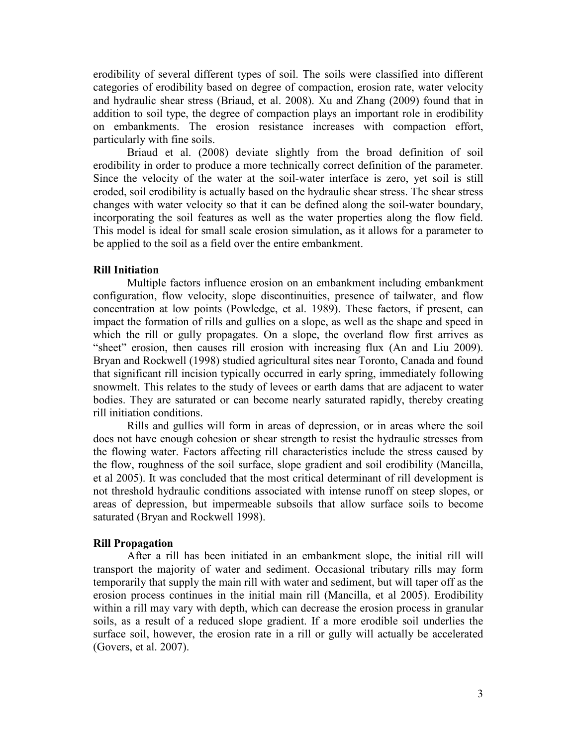erodibility of several different types of soil. The soils were classified into different categories of erodibility based on degree of compaction, erosion rate, water velocity and hydraulic shear stress (Briaud, et al. 2008). Xu and Zhang (2009) found that in addition to soil type, the degree of compaction plays an important role in erodibility on embankments. The erosion resistance increases with compaction effort, particularly with fine soils.

Briaud et al. (2008) deviate slightly from the broad definition of soil erodibility in order to produce a more technically correct definition of the parameter. Since the velocity of the water at the soil-water interface is zero, yet soil is still eroded, soil erodibility is actually based on the hydraulic shear stress. The shear stress changes with water velocity so that it can be defined along the soil-water boundary, incorporating the soil features as well as the water properties along the flow field. This model is ideal for small scale erosion simulation, as it allows for a parameter to be applied to the soil as a field over the entire embankment.

## **Rill Initiation**

Multiple factors influence erosion on an embankment including embankment configuration, flow velocity, slope discontinuities, presence of tailwater, and flow concentration at low points (Powledge, et al. 1989). These factors, if present, can impact the formation of rills and gullies on a slope, as well as the shape and speed in which the rill or gully propagates. On a slope, the overland flow first arrives as "sheet" erosion, then causes rill erosion with increasing flux (An and Liu 2009). Bryan and Rockwell (1998) studied agricultural sites near Toronto, Canada and found that significant rill incision typically occurred in early spring, immediately following snowmelt. This relates to the study of levees or earth dams that are adjacent to water bodies. They are saturated or can become nearly saturated rapidly, thereby creating rill initiation conditions.

Rills and gullies will form in areas of depression, or in areas where the soil does not have enough cohesion or shear strength to resist the hydraulic stresses from the flowing water. Factors affecting rill characteristics include the stress caused by the flow, roughness of the soil surface, slope gradient and soil erodibility (Mancilla, et al 2005). It was concluded that the most critical determinant of rill development is not threshold hydraulic conditions associated with intense runoff on steep slopes, or areas of depression, but impermeable subsoils that allow surface soils to become saturated (Bryan and Rockwell 1998).

#### **Rill Propagation**

After a rill has been initiated in an embankment slope, the initial rill will transport the majority of water and sediment. Occasional tributary rills may form temporarily that supply the main rill with water and sediment, but will taper off as the erosion process continues in the initial main rill (Mancilla, et al 2005). Erodibility within a rill may vary with depth, which can decrease the erosion process in granular soils, as a result of a reduced slope gradient. If a more erodible soil underlies the surface soil, however, the erosion rate in a rill or gully will actually be accelerated (Govers, et al. 2007).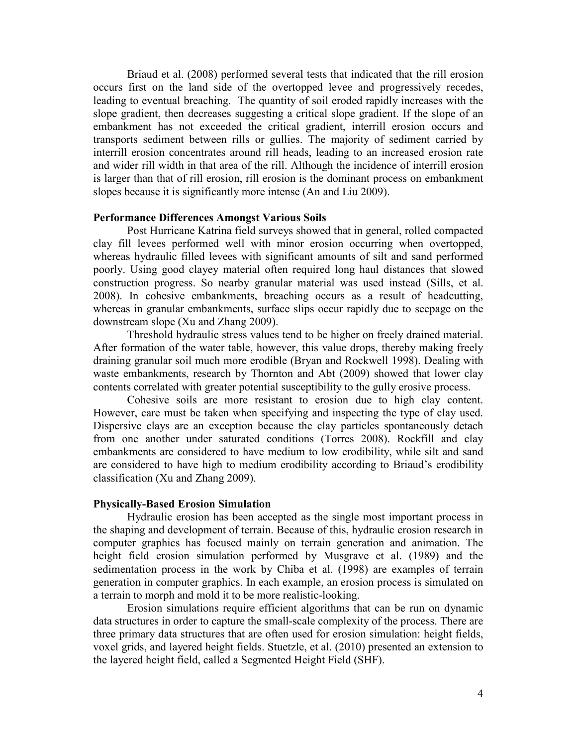Briaud et al. (2008) performed several tests that indicated that the rill erosion occurs first on the land side of the overtopped levee and progressively recedes, leading to eventual breaching. The quantity of soil eroded rapidly increases with the slope gradient, then decreases suggesting a critical slope gradient. If the slope of an embankment has not exceeded the critical gradient, interrill erosion occurs and transports sediment between rills or gullies. The majority of sediment carried by interrill erosion concentrates around rill heads, leading to an increased erosion rate and wider rill width in that area of the rill. Although the incidence of interrill erosion is larger than that of rill erosion, rill erosion is the dominant process on embankment slopes because it is significantly more intense (An and Liu 2009).

### **Performance Differences Amongst Various Soils**

Post Hurricane Katrina field surveys showed that in general, rolled compacted clay fill levees performed well with minor erosion occurring when overtopped, whereas hydraulic filled levees with significant amounts of silt and sand performed poorly. Using good clayey material often required long haul distances that slowed construction progress. So nearby granular material was used instead (Sills, et al. 2008). In cohesive embankments, breaching occurs as a result of headcutting, whereas in granular embankments, surface slips occur rapidly due to seepage on the downstream slope (Xu and Zhang 2009).

Threshold hydraulic stress values tend to be higher on freely drained material. After formation of the water table, however, this value drops, thereby making freely draining granular soil much more erodible (Bryan and Rockwell 1998). Dealing with waste embankments, research by Thornton and Abt (2009) showed that lower clay contents correlated with greater potential susceptibility to the gully erosive process.

Cohesive soils are more resistant to erosion due to high clay content. However, care must be taken when specifying and inspecting the type of clay used. Dispersive clays are an exception because the clay particles spontaneously detach from one another under saturated conditions (Torres 2008). Rockfill and clay embankments are considered to have medium to low erodibility, while silt and sand are considered to have high to medium erodibility according to Briaud's erodibility classification (Xu and Zhang 2009).

### **Physically-Based Erosion Simulation**

 Hydraulic erosion has been accepted as the single most important process in the shaping and development of terrain. Because of this, hydraulic erosion research in computer graphics has focused mainly on terrain generation and animation. The height field erosion simulation performed by Musgrave et al. (1989) and the sedimentation process in the work by Chiba et al. (1998) are examples of terrain generation in computer graphics. In each example, an erosion process is simulated on a terrain to morph and mold it to be more realistic-looking.

 Erosion simulations require efficient algorithms that can be run on dynamic data structures in order to capture the small-scale complexity of the process. There are three primary data structures that are often used for erosion simulation: height fields, voxel grids, and layered height fields. Stuetzle, et al. (2010) presented an extension to the layered height field, called a Segmented Height Field (SHF).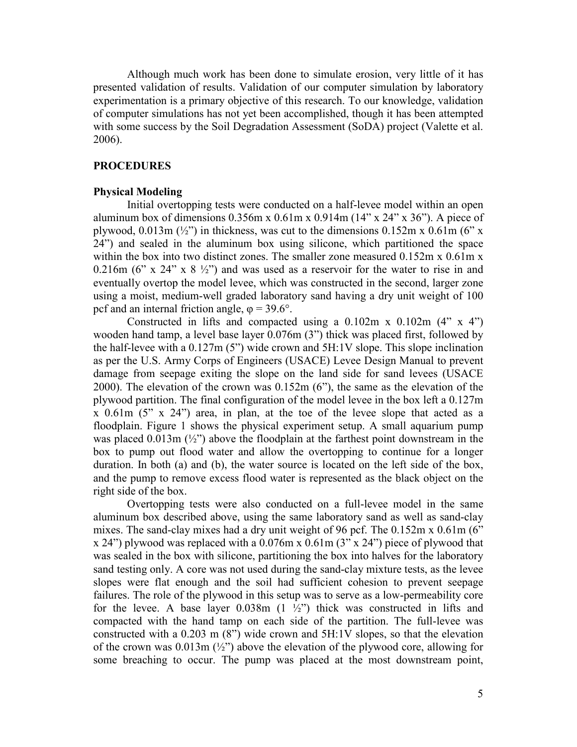Although much work has been done to simulate erosion, very little of it has presented validation of results. Validation of our computer simulation by laboratory experimentation is a primary objective of this research. To our knowledge, validation of computer simulations has not yet been accomplished, though it has been attempted with some success by the Soil Degradation Assessment (SoDA) project (Valette et al. 2006).

#### **PROCEDURES**

#### **Physical Modeling**

Initial overtopping tests were conducted on a half-levee model within an open aluminum box of dimensions 0.356m x 0.61m x 0.914m (14" x 24" x 36"). A piece of plywood,  $0.013$ m  $\binom{1}{2}$  in thickness, was cut to the dimensions  $0.152$ m x  $0.61$ m  $(6"$  x 24") and sealed in the aluminum box using silicone, which partitioned the space within the box into two distinct zones. The smaller zone measured  $0.152m \times 0.61m \times$ 0.216m (6" x 24" x 8  $\frac{1}{2}$ ") and was used as a reservoir for the water to rise in and eventually overtop the model levee, which was constructed in the second, larger zone using a moist, medium-well graded laboratory sand having a dry unit weight of 100 pcf and an internal friction angle,  $\varphi = 39.6^{\circ}$ .

Constructed in lifts and compacted using a  $0.102m \times 0.102m$  (4" x 4") wooden hand tamp, a level base layer 0.076m (3") thick was placed first, followed by the half-levee with a 0.127m (5") wide crown and 5H:1V slope. This slope inclination as per the U.S. Army Corps of Engineers (USACE) Levee Design Manual to prevent damage from seepage exiting the slope on the land side for sand levees (USACE 2000). The elevation of the crown was 0.152m (6"), the same as the elevation of the plywood partition. The final configuration of the model levee in the box left a 0.127m x 0.61m (5" x 24") area, in plan, at the toe of the levee slope that acted as a floodplain. Figure 1 shows the physical experiment setup. A small aquarium pump was placed  $0.013m$  ( $\frac{1}{2}$ ") above the floodplain at the farthest point downstream in the box to pump out flood water and allow the overtopping to continue for a longer duration. In both (a) and (b), the water source is located on the left side of the box, and the pump to remove excess flood water is represented as the black object on the right side of the box.

Overtopping tests were also conducted on a full-levee model in the same aluminum box described above, using the same laboratory sand as well as sand-clay mixes. The sand-clay mixes had a dry unit weight of 96 pcf. The 0.152m x 0.61m (6" x 24") plywood was replaced with a 0.076m x 0.61m (3" x 24") piece of plywood that was sealed in the box with silicone, partitioning the box into halves for the laboratory sand testing only. A core was not used during the sand-clay mixture tests, as the levee slopes were flat enough and the soil had sufficient cohesion to prevent seepage failures. The role of the plywood in this setup was to serve as a low-permeability core for the levee. A base layer  $0.038m$  (1  $\frac{1}{2}$ ) thick was constructed in lifts and compacted with the hand tamp on each side of the partition. The full-levee was constructed with a 0.203 m (8") wide crown and 5H:1V slopes, so that the elevation of the crown was  $0.013$ m  $\left(\frac{1}{2}\right)$  above the elevation of the plywood core, allowing for some breaching to occur. The pump was placed at the most downstream point,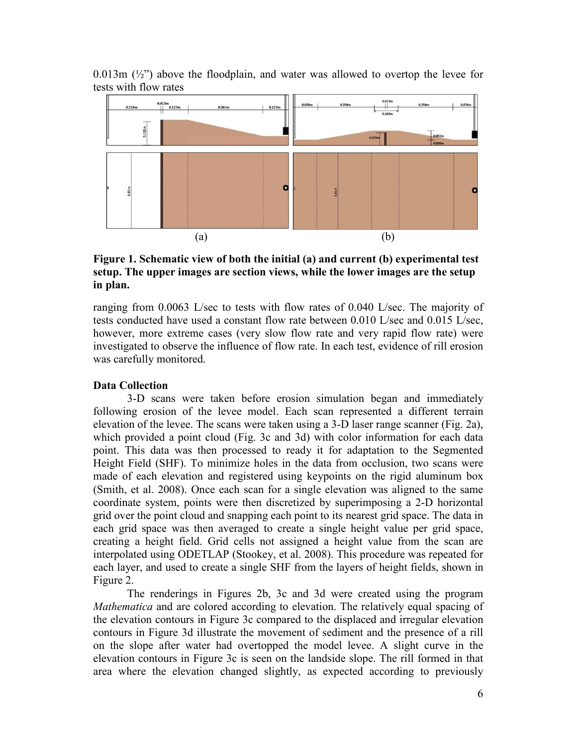

0.013m  $\binom{1}{2}$  above the floodplain, and water was allowed to overtop the levee for tests with flow rates

**Figure 1. Schematic view of both the initial (a) and current (b) experimental test setup. The upper images are section views, while the lower images are the setup in plan.** 

ranging from 0.0063 L/sec to tests with flow rates of 0.040 L/sec. The majority of tests conducted have used a constant flow rate between 0.010 L/sec and 0.015 L/sec, however, more extreme cases (very slow flow rate and very rapid flow rate) were investigated to observe the influence of flow rate. In each test, evidence of rill erosion was carefully monitored.

## **Data Collection**

 3-D scans were taken before erosion simulation began and immediately following erosion of the levee model. Each scan represented a different terrain elevation of the levee. The scans were taken using a 3-D laser range scanner (Fig. 2a), which provided a point cloud (Fig. 3c and 3d) with color information for each data point. This data was then processed to ready it for adaptation to the Segmented Height Field (SHF). To minimize holes in the data from occlusion, two scans were made of each elevation and registered using keypoints on the rigid aluminum box (Smith, et al. 2008). Once each scan for a single elevation was aligned to the same coordinate system, points were then discretized by superimposing a 2-D horizontal grid over the point cloud and snapping each point to its nearest grid space. The data in each grid space was then averaged to create a single height value per grid space, creating a height field. Grid cells not assigned a height value from the scan are interpolated using ODETLAP (Stookey, et al. 2008). This procedure was repeated for each layer, and used to create a single SHF from the layers of height fields, shown in Figure 2.

The renderings in Figures 2b, 3c and 3d were created using the program *Mathematica* and are colored according to elevation. The relatively equal spacing of the elevation contours in Figure 3c compared to the displaced and irregular elevation contours in Figure 3d illustrate the movement of sediment and the presence of a rill on the slope after water had overtopped the model levee. A slight curve in the elevation contours in Figure 3c is seen on the landside slope. The rill formed in that area where the elevation changed slightly, as expected according to previously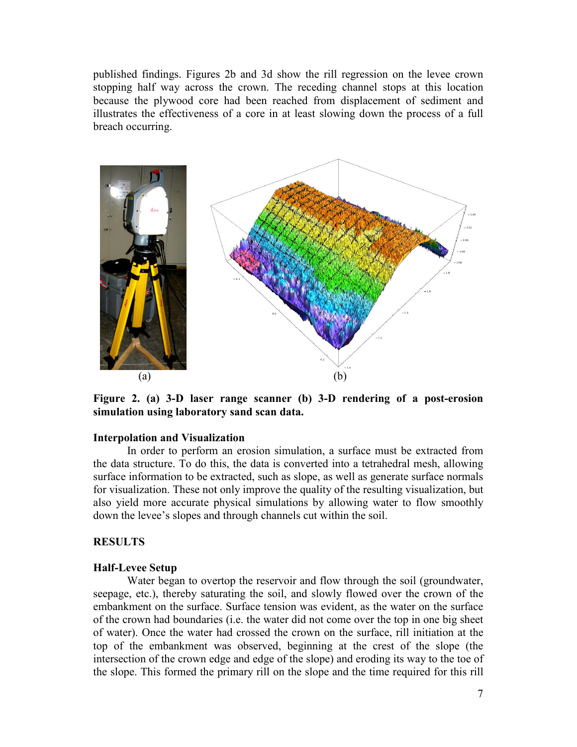published findings. Figures 2b and 3d show the rill regression on the levee crown stopping half way across the crown. The receding channel stops at this location stopping half way across the crown. The receding channel stops at this location<br>because the plywood core had been reached from displacement of sediment and illustrates the effectiveness of a core in at least slowing down the process of a full breach occurring. d 3d show the rill regression on<br>wm. The receding channel stops<br>een reached from displacement<br>ore in at least slowing down the



Figure 2. (a) 3-D laser range scanner (b) 3-D rendering of a post-erosion simulation using laboratory sand scan data.

### **Interpolation and Visualization and Visualization**

In order to perform an erosion simulation, a surface must be extracted from the data structure. To do this, the data is converted into a tetrahedral mesh, allowing surface information to be extracted, such as slope, as well as generate surface normals for visualization. These not only improve the quality of the resulting visualization, but also yield more accurate physical simulations by allowing water to flow smoothly down the levee's slopes and through channels cut within the soil. In order to perform an erosion simulation, a surface must be extracted from<br>data structure. To do this, the data is converted into a tetrahedral mesh, allowing<br>ace information to be extracted, such as slope, as well as gen

## **RESULTS**

#### **Half-Levee Setup**

Water began to overtop the reservoir and flow through the soil (groundwater, Water began to overtop the reservoir and flow through the soil (groundwater, seepage, etc.), thereby saturating the soil, and slowly flowed over the crown of the embankment on the surface. Surface tension was evident, as the water on the surface of the crown had boundaries (i.e. the water did not come over the top in one big sheet of the crown had boundaries (i.e. the water did not come over the top in one big sheet of water). Once the water had crossed the crown on the surface, rill initiation at the top of the embankment was observed, beginning at the crest of the slope (the intersection of the crown edge and edge of the slope) and eroding its way to the toe of intersection of the crown edge and edge of the slope) and eroding its way to the toe of the slope. This formed the primary rill on the slope and the time required for this rill urface tension was evident, as the water on the surface.<br>
Let the water did not come over the top in one big sh<br>
crossed the crown on the surface, rill initiation at<br>
observed, beginning at the crest of the slope (<br>
and ed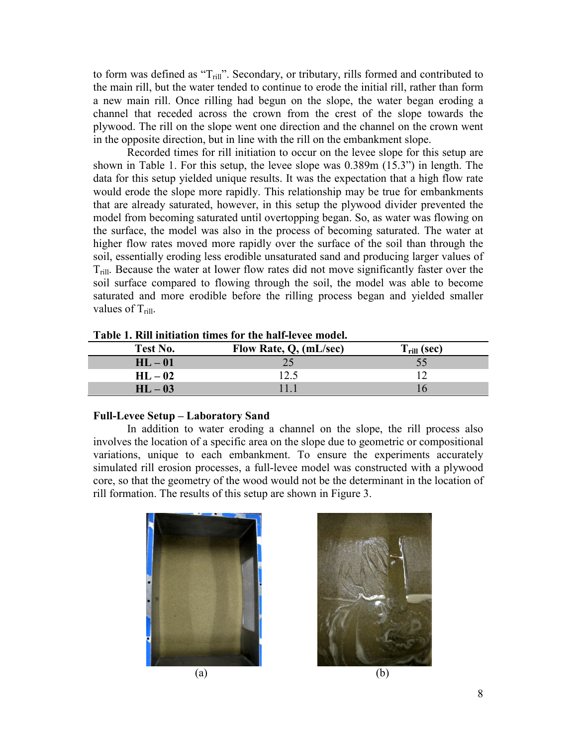to form was defined as " $T_{\text{rill}}$ ". Secondary, or tributary, rills formed and contributed to the main rill, but the water tended to continue to erode the initial rill, rather than form a new main rill. Once rilling had begun on the slope, the water began eroding a channel that receded across the crown from the crest of the slope towards the plywood. The rill on the slope went one direction and the channel on the cr in the opposite direction, but in line with the rill on the embankment slope. in but the water tended to continue to erode the initial rill, rather than form<br>new main rill. Once rilling had begun on the slope, the water began eroding a<br>annel that receded across the crown from the crest of the slope . Secondary, or tributary, rills formed and contributed to nded to continue to erode the initial rill, rather than form g had begun on the slope, the water began eroding a the crown from the crest of the slope towards the

Recorded times for rill initiation to occur on the levee slope for this setup are shown in Table 1. For this setup, the levee slope was  $0.389m$   $(15.3")$  in length. The data for this setup yielded unique results. It was the expectation that a high flow rate would erode the slope more rapidly. This relationship may be true for embankments that are already saturated, however, in this setup the plywood divider prevented the model from becoming saturated until overtopping began. So, as water was flowing on the surface, the model was also in the process of becoming saturated. The water at higher flow rates moved more rapidly over the surface of the soil than through the soil, essentially eroding less erodible unsaturated sand and producing larger values of  $T_{\text{rill}}$ . Because the water at lower flow rates did not move significantly faster over the soil surface compared to flowing through the soil, the model was able to become saturated and more erodible before the rilling process began and yielded smaller values of T<sub>rill</sub>. in the opposite direction, but in line with the rill on the embankment slope.<br>
Recorded times for rill initiation to occur on the levee slope for this setup are<br>
shown in Table 1. For this setup, the levee slope was 0.389m soil, essentially eroding less erodible unsaturated sand and producing larger values of  $T_{\text{rill}}$ . Because the water at lower flow rates did not move significantly faster over the soil surface compared to flowing through ore rapidly over the surface of the soil than through<br>erodible unsaturated sand and producing larger values<br>wer flow rates did not move significantly faster over<br>owing through the soil, the model was able to becce<br>e befor

| t wore to full information villes for the mail fevel informatio |                        |                         |  |  |  |
|-----------------------------------------------------------------|------------------------|-------------------------|--|--|--|
| Test No.                                                        | Flow Rate, Q, (mL/sec) | $T_{\text{rill}}$ (sec) |  |  |  |
| $HL - 01$                                                       |                        | 55                      |  |  |  |
| $HL-02$                                                         | 12.5                   |                         |  |  |  |
| $HL-03$                                                         |                        | I h                     |  |  |  |

Table 1. Rill initiation times for the half-levee model.

#### **Full-Levee Setup – Laboratory Sand**

In addition to water eroding a channel on the slope, the rill process also involves the location of a specific area on the slope due to geometric or compositional variations, unique to each embankment. To ensure the experiments accurately In addition to water eroding a channel on the slope, the rill process also involves the location of a specific area on the slope due to geometric or compositional variations, unique to each embankment. To ensure the experi core, so that the geometry of the wood would not be the determinant in the location of core, so that the geometry of the wood would not be the detern<br>rill formation. The results of this setup are shown in Figure 3.



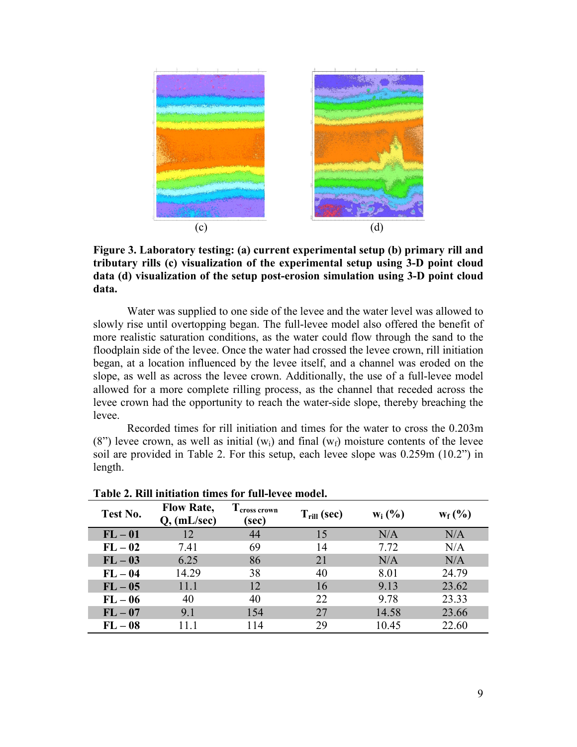

Figure 3. Laboratory testing: (a) current experimental setup (b) primary rill and tributary rills (c) visualization of the experimental setup using 3-D point cloud tributary rills (c) visualization of the experimental setup using 3-D point cloud<br>data (d) visualization of the setup post-erosion simulation using 3-D point cloud **data.**

Water was supplied to one side of the levee and the water level was allowed to rise until overtopping began. The full-levee model also offered the benefit of slowly rise until overtopping began. The full-levee model also offered the benefit of more realistic saturation conditions, as the water could flow through the sand to the more realistic saturation conditions, as the water could flow through the sand to the floodplain side of the levee. Once the water had crossed the levee crown, rill initiation began, at a location influenced by the levee itself, and a channel was eroded on the slope, as well as across the levee crown. Additionally, the use of a full-levee model allowed for a more complete rilling process, as the channel that receded across the allowed for a more complete rilling process, as the channel that receded across the levee crown had the opportunity to reach the water-side slope, thereby breaching the levee. levee model also offered the ben<br>ater could flow through the sand<br>d crossed the levee crown, rill ini<br>tself, and a channel was eroded<br>litionally, the use of a full-levee<br>as the channel that receded acro<br>water-side slope, t

Recorded times for rill initiation and times for the water to cross the 0.203m Recorded times for rill initiation and times for the water to cross the 0.203m (8") levee crown, as well as initial  $(w_i)$  and final  $(w_f)$  moisture contents of the levee soil are provided in Table 2. For this setup, each levee slope was  $0.259m$  (10.2") in length.

| Test No. | <b>Flow Rate,</b><br>$Q$ , (mL/sec) | $\mathbf{T_{cross\, crown}}$<br>(sec) | $T_{\text{rill}}$ (sec) | $W_i$ $(\frac{9}{6})$ | $W_f$ (%) |
|----------|-------------------------------------|---------------------------------------|-------------------------|-----------------------|-----------|
| $FL-01$  | 12                                  | 44                                    | 15                      | N/A                   | N/A       |
| $FL-02$  | 7.41                                | 69                                    | 14                      | 7.72                  | N/A       |
| $FL-03$  | 6.25                                | 86                                    | 21                      | N/A                   | N/A       |
| $FL-04$  | 14.29                               | 38                                    | 40                      | 8.01                  | 24.79     |
| $FL-05$  | 11.1                                | 12                                    | 16                      | 9.13                  | 23.62     |
| $FL-06$  | 40                                  | 40                                    | 22                      | 9.78                  | 23.33     |
| $FL-07$  | 9.1                                 | 154                                   | 27                      | 14.58                 | 23.66     |
| $FL-08$  | 11.1                                | 114                                   | 29                      | 10.45                 | 22.60     |

**Table 2. Rill initiation times for full Table 2. Rill full-levee model.**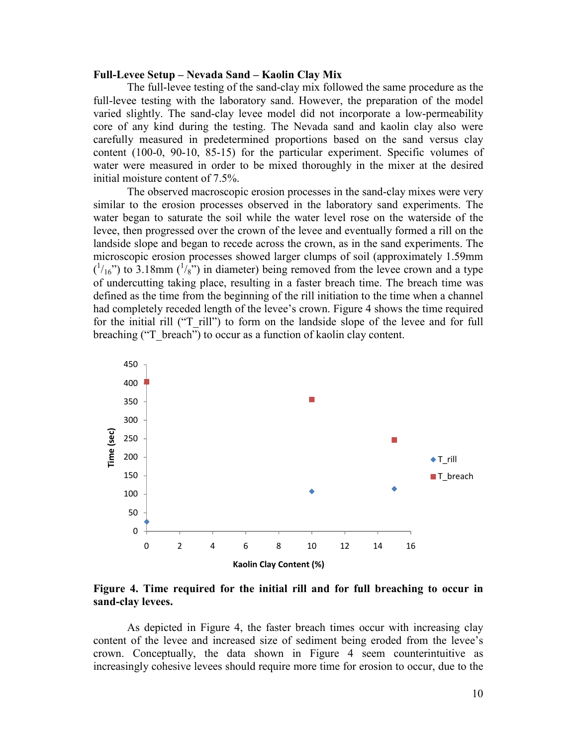#### **Full-Levee Setup – Nevada Sand – Kaolin Clay Mix**

The full-levee testing of the sand-clay mix followed the same procedure as the full-levee testing with the laboratory sand. However, the preparation of the model varied slightly. The sand-clay levee model did not incorporate a low-permeability core of any kind during the testing. The Nevada sand and kaolin clay also were carefully measured in predetermined proportions based on the sand versus clay content (100-0, 90-10, 85-15) for the particular experiment. Specific volumes of water were measured in order to be mixed thoroughly in the mixer at the desired initial moisture content of 7.5%.

 The observed macroscopic erosion processes in the sand-clay mixes were very similar to the erosion processes observed in the laboratory sand experiments. The water began to saturate the soil while the water level rose on the waterside of the levee, then progressed over the crown of the levee and eventually formed a rill on the landside slope and began to recede across the crown, as in the sand experiments. The microscopic erosion processes showed larger clumps of soil (approximately 1.59mm  $\binom{1}{16}$  to 3.18mm  $\binom{1}{8}$  in diameter) being removed from the levee crown and a type of undercutting taking place, resulting in a faster breach time. The breach time was defined as the time from the beginning of the rill initiation to the time when a channel had completely receded length of the levee's crown. Figure 4 shows the time required for the initial rill ("T\_rill") to form on the landside slope of the levee and for full breaching ("T\_breach") to occur as a function of kaolin clay content.



**Figure 4. Time required for the initial rill and for full breaching to occur in sand-clay levees.** 

As depicted in Figure 4, the faster breach times occur with increasing clay content of the levee and increased size of sediment being eroded from the levee's crown. Conceptually, the data shown in Figure 4 seem counterintuitive as increasingly cohesive levees should require more time for erosion to occur, due to the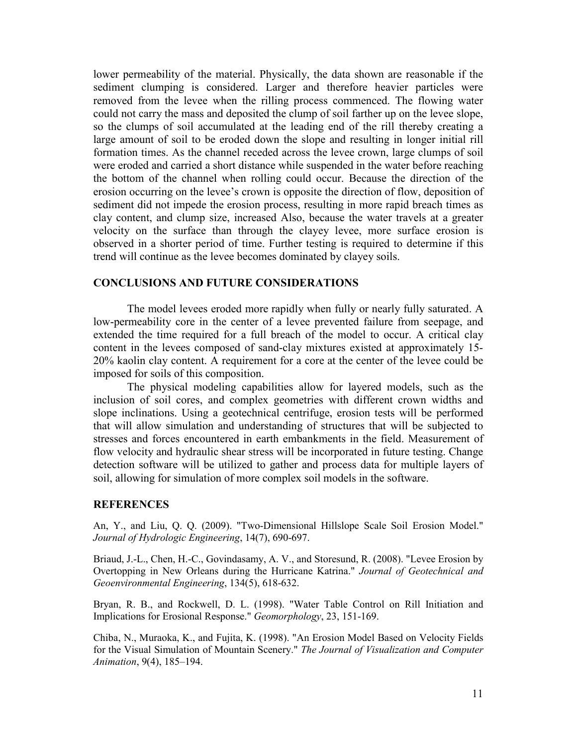lower permeability of the material. Physically, the data shown are reasonable if the sediment clumping is considered. Larger and therefore heavier particles were removed from the levee when the rilling process commenced. The flowing water could not carry the mass and deposited the clump of soil farther up on the levee slope, so the clumps of soil accumulated at the leading end of the rill thereby creating a large amount of soil to be eroded down the slope and resulting in longer initial rill formation times. As the channel receded across the levee crown, large clumps of soil were eroded and carried a short distance while suspended in the water before reaching the bottom of the channel when rolling could occur. Because the direction of the erosion occurring on the levee's crown is opposite the direction of flow, deposition of sediment did not impede the erosion process, resulting in more rapid breach times as clay content, and clump size, increased Also, because the water travels at a greater velocity on the surface than through the clayey levee, more surface erosion is observed in a shorter period of time. Further testing is required to determine if this trend will continue as the levee becomes dominated by clayey soils.

#### **CONCLUSIONS AND FUTURE CONSIDERATIONS**

The model levees eroded more rapidly when fully or nearly fully saturated. A low-permeability core in the center of a levee prevented failure from seepage, and extended the time required for a full breach of the model to occur. A critical clay content in the levees composed of sand-clay mixtures existed at approximately 15- 20% kaolin clay content. A requirement for a core at the center of the levee could be imposed for soils of this composition.

The physical modeling capabilities allow for layered models, such as the inclusion of soil cores, and complex geometries with different crown widths and slope inclinations. Using a geotechnical centrifuge, erosion tests will be performed that will allow simulation and understanding of structures that will be subjected to stresses and forces encountered in earth embankments in the field. Measurement of flow velocity and hydraulic shear stress will be incorporated in future testing. Change detection software will be utilized to gather and process data for multiple layers of soil, allowing for simulation of more complex soil models in the software.

#### **REFERENCES**

An, Y., and Liu, Q. Q. (2009). "Two-Dimensional Hillslope Scale Soil Erosion Model." *Journal of Hydrologic Engineering*, 14(7), 690-697.

Briaud, J.-L., Chen, H.-C., Govindasamy, A. V., and Storesund, R. (2008). "Levee Erosion by Overtopping in New Orleans during the Hurricane Katrina." *Journal of Geotechnical and Geoenvironmental Engineering*, 134(5), 618-632.

Bryan, R. B., and Rockwell, D. L. (1998). "Water Table Control on Rill Initiation and Implications for Erosional Response." *Geomorphology*, 23, 151-169.

Chiba, N., Muraoka, K., and Fujita, K. (1998). "An Erosion Model Based on Velocity Fields for the Visual Simulation of Mountain Scenery." *The Journal of Visualization and Computer Animation*, 9(4), 185–194.